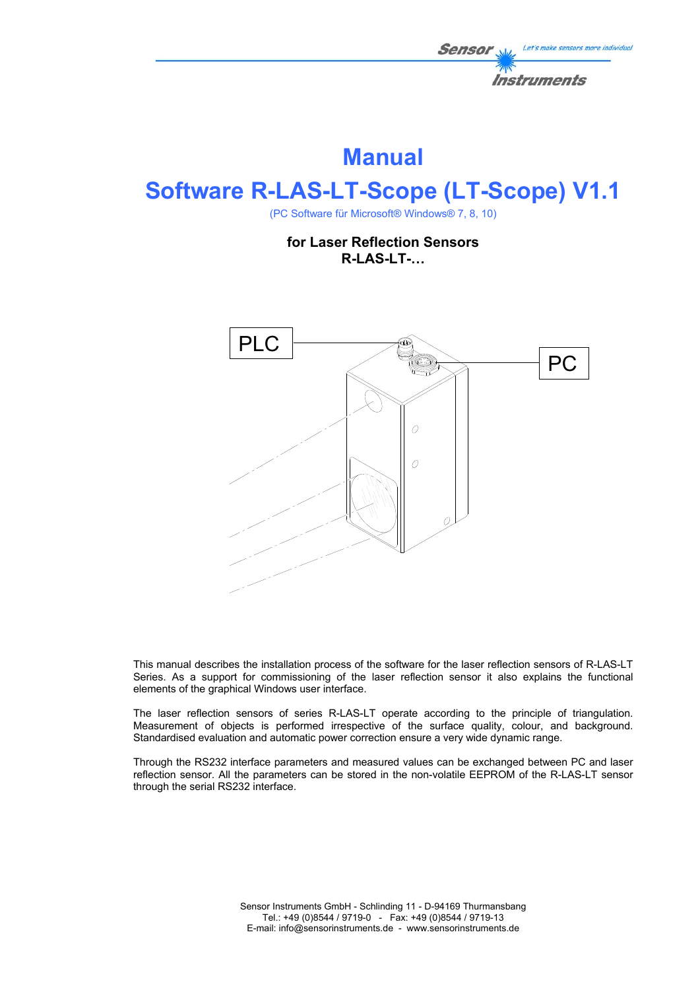

# **Manual**

# **Software R-LAS-LT-Scope (LT-Scope) V1.1**

(PC Software für Microsoft® Windows® 7, 8, 10)

**for Laser Reflection Sensors R-LAS-LT-…** 



This manual describes the installation process of the software for the laser reflection sensors of R-LAS-LT Series. As a support for commissioning of the laser reflection sensor it also explains the functional elements of the graphical Windows user interface.

The laser reflection sensors of series R-LAS-LT operate according to the principle of triangulation. Measurement of objects is performed irrespective of the surface quality, colour, and background. Standardised evaluation and automatic power correction ensure a very wide dynamic range.

Through the RS232 interface parameters and measured values can be exchanged between PC and laser reflection sensor. All the parameters can be stored in the non-volatile EEPROM of the R-LAS-LT sensor through the serial RS232 interface.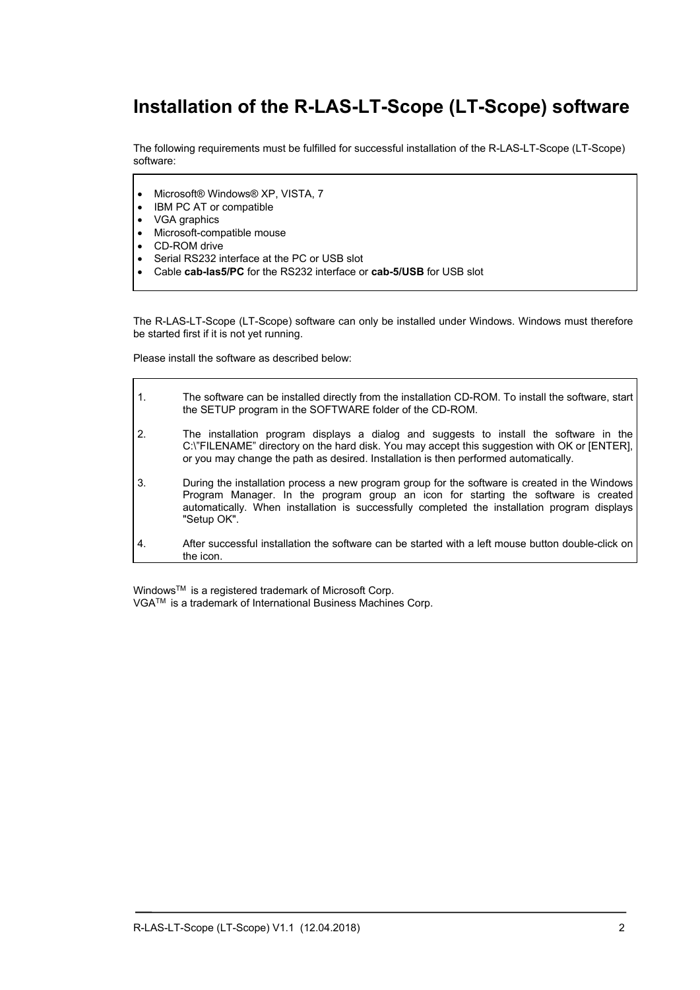## **Installation of the R-LAS-LT-Scope (LT-Scope) software**

The following requirements must be fulfilled for successful installation of the R-LAS-LT-Scope (LT-Scope) software:

- Microsoft® Windows® XP, VISTA, 7
- 
- VGA graphics
- IBM PC AT or compatible<br>• VGA graphics<br>• Microsoft-compatible mou Microsoft-compatible mouse
- CD-ROM drive
- Serial RS232 interface at the PC or USB slot
- Cable **cab-las5/PC** for the RS232 interface or **cab-5/USB** for USB slot

The R-LAS-LT-Scope (LT-Scope) software can only be installed under Windows. Windows must therefore be started first if it is not yet running.

Please install the software as described below:

| 1. | The software can be installed directly from the installation CD-ROM. To install the software, start<br>the SETUP program in the SOFTWARE folder of the CD-ROM.                                                                                                                                      |
|----|-----------------------------------------------------------------------------------------------------------------------------------------------------------------------------------------------------------------------------------------------------------------------------------------------------|
| 2. | The installation program displays a dialog and suggests to install the software in the<br>C:\"FILENAME" directory on the hard disk. You may accept this suggestion with OK or [ENTER],<br>or you may change the path as desired. Installation is then performed automatically.                      |
| 3. | During the installation process a new program group for the software is created in the Windows<br>Program Manager. In the program group an icon for starting the software is created<br>automatically. When installation is successfully completed the installation program displays<br>"Setup OK". |
| 4. | After successful installation the software can be started with a left mouse button double-click on<br>the icon.                                                                                                                                                                                     |

Windows™ is a registered trademark of Microsoft Corp. VGATM is a trademark of International Business Machines Corp.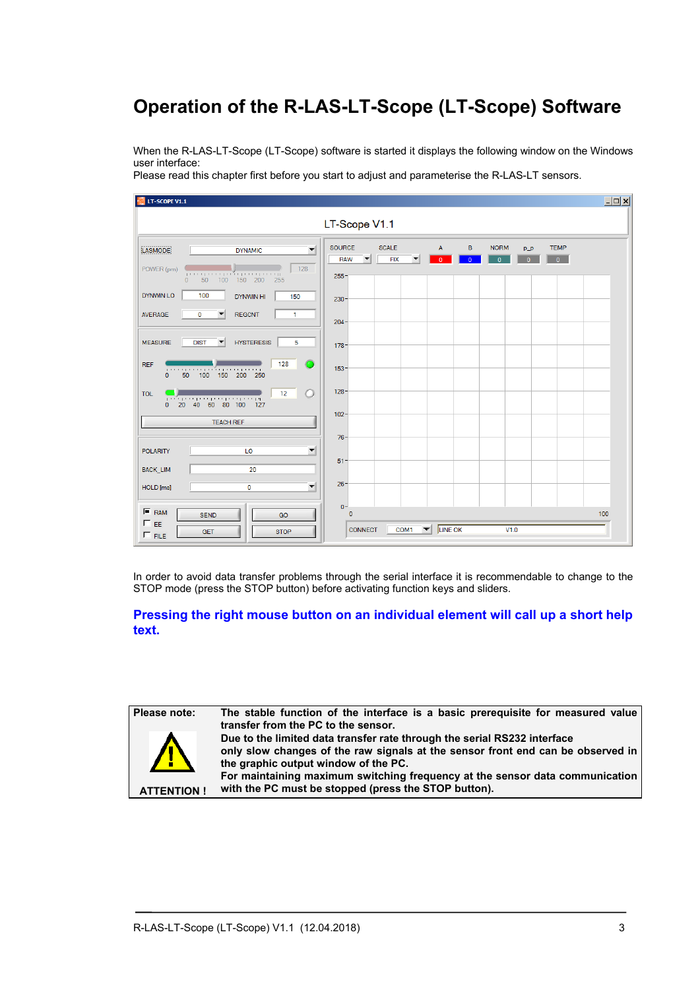# **Operation of the R-LAS-LT-Scope (LT-Scope) Software**

When the R-LAS-LT-Scope (LT-Scope) software is started it displays the following window on the Windows user interface:

Please read this chapter first before you start to adjust and parameterise the R-LAS-LT sensors.

| LT-SCOPE V1.1                                                                                     |                                                                                                                                                                                                                             | $\Box$ o $\times$ |  |  |
|---------------------------------------------------------------------------------------------------|-----------------------------------------------------------------------------------------------------------------------------------------------------------------------------------------------------------------------------|-------------------|--|--|
| LT-Scope V1.1                                                                                     |                                                                                                                                                                                                                             |                   |  |  |
| $\left  \right $<br><b>LASMODE</b><br><b>DYNAMIC</b>                                              | <b>SOURCE</b><br><b>SCALE</b><br>$\mathsf B$<br>$\mathsf{A}$<br><b>NORM</b><br><b>TEMP</b><br>$p\_p$<br><b>FIX</b><br>$\mathbf{0}$<br><b>RAW</b><br>$\overline{0}$<br>▼<br>$\overline{0}$<br>$\mathbf{0}$<br>$\overline{0}$ |                   |  |  |
| 128<br>POWER (pm)<br>100 150 200<br>- 50<br>255<br>$\mathbf{0}$                                   | $255 -$                                                                                                                                                                                                                     |                   |  |  |
| <b>DYNWIN LO</b><br>100<br>DYNWIN HI<br>150                                                       | $230 -$                                                                                                                                                                                                                     |                   |  |  |
| <b>REGCNT</b><br><b>AVERAGE</b><br>$\bf{0}$<br>$\blacktriangledown$<br>1.                         | $204 -$                                                                                                                                                                                                                     |                   |  |  |
| <b>HYSTERESIS</b><br><b>DIST</b><br>5<br><b>MEASURE</b><br>$\overline{\phantom{a}}$               | 178                                                                                                                                                                                                                         |                   |  |  |
| 128<br><b>REF</b><br>0 50 100 150 200 250<br>$\overline{0}$                                       | $153 -$                                                                                                                                                                                                                     |                   |  |  |
| 12<br>Ο<br><b>TOL</b><br>1000 1000 1000 1000 1000 1000 100<br>20 40 60 80 100 127<br>$\mathbf{0}$ | $128 -$                                                                                                                                                                                                                     |                   |  |  |
| <b>TEACH REF</b>                                                                                  | $102 -$                                                                                                                                                                                                                     |                   |  |  |
| $\blacktriangledown$<br><b>POLARITY</b><br>LO                                                     | $76 -$                                                                                                                                                                                                                      |                   |  |  |
| 20<br>BACK_LIM                                                                                    | $51 -$                                                                                                                                                                                                                      |                   |  |  |
| $\blacktriangledown$<br>$\bf{0}$<br>HOLD [ms]                                                     | $26 -$                                                                                                                                                                                                                      |                   |  |  |
| $F$ RAM<br><b>SEND</b><br>GO                                                                      | $0 -$<br>$\bf{0}$                                                                                                                                                                                                           | 100               |  |  |
| $\Box$ EE<br><b>GET</b><br><b>STOP</b><br>$\Gamma$ FILE                                           | $COM1$ $\blacktriangleright$ LINE OK<br><b>CONNECT</b><br>V1.0                                                                                                                                                              |                   |  |  |

In order to avoid data transfer problems through the serial interface it is recommendable to change to the STOP mode (press the STOP button) before activating function keys and sliders.

### **Pressing the right mouse button on an individual element will call up a short help text.**

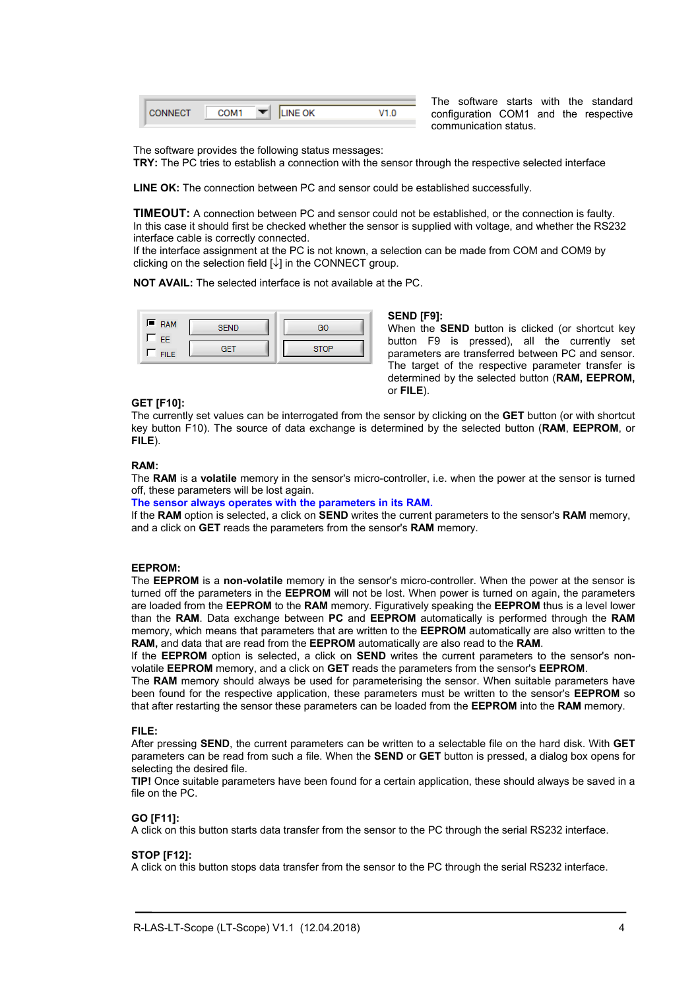|  | <b>JE OK</b> |  |
|--|--------------|--|
|  |              |  |

The software starts with the standard configuration COM1 and the respective communication status.

The software provides the following status messages:

**TRY:** The PC tries to establish a connection with the sensor through the respective selected interface

**LINE OK:** The connection between PC and sensor could be established successfully.

**TIMEOUT:** A connection between PC and sensor could not be established, or the connection is faulty. In this case it should first be checked whether the sensor is supplied with voltage, and whether the RS232 interface cable is correctly connected.

If the interface assignment at the PC is not known, a selection can be made from COM and COM9 by clicking on the selection field  $[\downarrow]$  in the CONNECT group.

**NOT AVAIL:** The selected interface is not available at the PC.



#### **SEND [F9]:**

When the **SEND** button is clicked (or shortcut key button F9 is pressed), all the currently set parameters are transferred between PC and sensor. The target of the respective parameter transfer is determined by the selected button (**RAM, EEPROM,**  or **FILE**).

#### **GET [F10]:**

The currently set values can be interrogated from the sensor by clicking on the **GET** button (or with shortcut key button F10). The source of data exchange is determined by the selected button (**RAM**, **EEPROM**, or **FILE**).

#### **RAM:**

The **RAM** is a **volatile** memory in the sensor's micro-controller, i.e. when the power at the sensor is turned off, these parameters will be lost again.

#### **The sensor always operates with the parameters in its RAM.**

If the **RAM** option is selected, a click on **SEND** writes the current parameters to the sensor's **RAM** memory, and a click on **GET** reads the parameters from the sensor's **RAM** memory.

#### **EEPROM:**

The **EEPROM** is a **non-volatile** memory in the sensor's micro-controller. When the power at the sensor is turned off the parameters in the **EEPROM** will not be lost. When power is turned on again, the parameters are loaded from the **EEPROM** to the **RAM** memory. Figuratively speaking the **EEPROM** thus is a level lower than the **RAM**. Data exchange between **PC** and **EEPROM** automatically is performed through the **RAM**  memory, which means that parameters that are written to the **EEPROM** automatically are also written to the **RAM,** and data that are read from the **EEPROM** automatically are also read to the **RAM**.

If the **EEPROM** option is selected, a click on **SEND** writes the current parameters to the sensor's nonvolatile **EEPROM** memory, and a click on **GET** reads the parameters from the sensor's **EEPROM**.

The **RAM** memory should always be used for parameterising the sensor. When suitable parameters have been found for the respective application, these parameters must be written to the sensor's **EEPROM** so that after restarting the sensor these parameters can be loaded from the **EEPROM** into the **RAM** memory.

#### **FILE:**

After pressing **SEND**, the current parameters can be written to a selectable file on the hard disk. With **GET** parameters can be read from such a file. When the **SEND** or **GET** button is pressed, a dialog box opens for selecting the desired file.

**TIP!** Once suitable parameters have been found for a certain application, these should always be saved in a file on the PC.

#### **GO [F11]:**

A click on this button starts data transfer from the sensor to the PC through the serial RS232 interface.

#### **STOP [F12]:**

A click on this button stops data transfer from the sensor to the PC through the serial RS232 interface.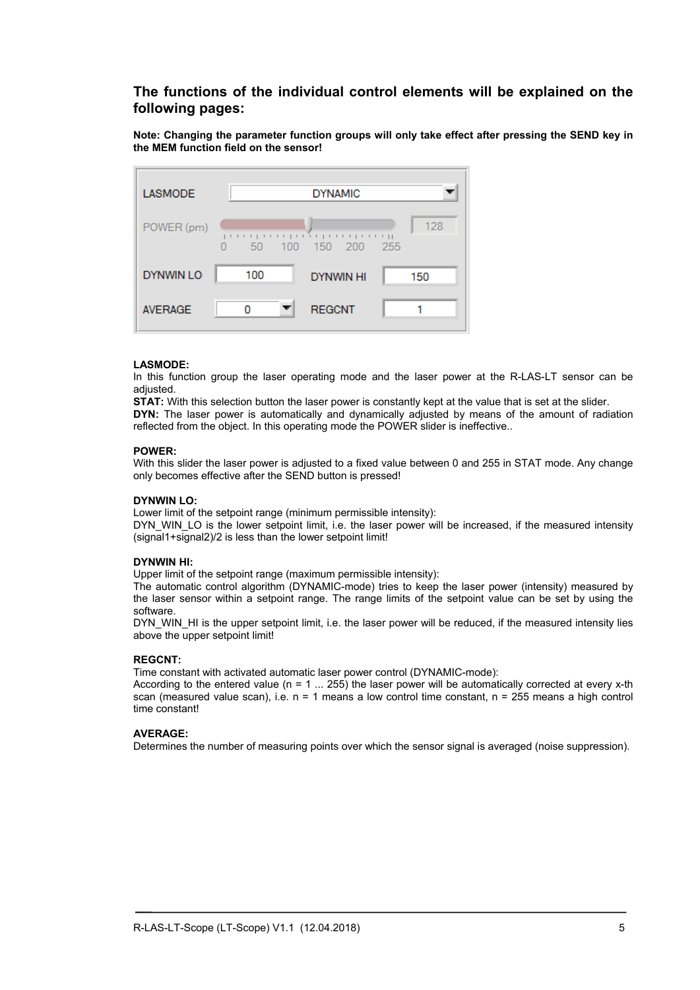### **The functions of the individual control elements will be explained on the following pages:**

**Note: Changing the parameter function groups will only take effect after pressing the SEND key in the MEM function field on the sensor!** 



#### **LASMODE:**

In this function group the laser operating mode and the laser power at the R-LAS-LT sensor can be adjusted.

**STAT:** With this selection button the laser power is constantly kept at the value that is set at the slider.

**DYN:** The laser power is automatically and dynamically adjusted by means of the amount of radiation reflected from the object. In this operating mode the POWER slider is ineffective..

#### **POWER:**

With this slider the laser power is adjusted to a fixed value between 0 and 255 in STAT mode. Any change only becomes effective after the SEND button is pressed!

#### **DYNWIN LO:**

Lower limit of the setpoint range (minimum permissible intensity):

DYN, WIN, LO is the lower setpoint limit, i.e. the laser power will be increased, if the measured intensity (signal1+signal2)/2 is less than the lower setpoint limit!

#### **DYNWIN HI:**

Upper limit of the setpoint range (maximum permissible intensity):

The automatic control algorithm (DYNAMIC-mode) tries to keep the laser power (intensity) measured by the laser sensor within a setpoint range. The range limits of the setpoint value can be set by using the software.

DYN\_WIN\_HI is the upper setpoint limit, i.e. the laser power will be reduced, if the measured intensity lies above the upper setpoint limit!

#### **REGCNT:**

Time constant with activated automatic laser power control (DYNAMIC-mode):

According to the entered value ( $n = 1$  ... 255) the laser power will be automatically corrected at every x-th scan (measured value scan), i.e.  $n = 1$  means a low control time constant,  $n = 255$  means a high control time constant!

#### **AVERAGE:**

Determines the number of measuring points over which the sensor signal is averaged (noise suppression).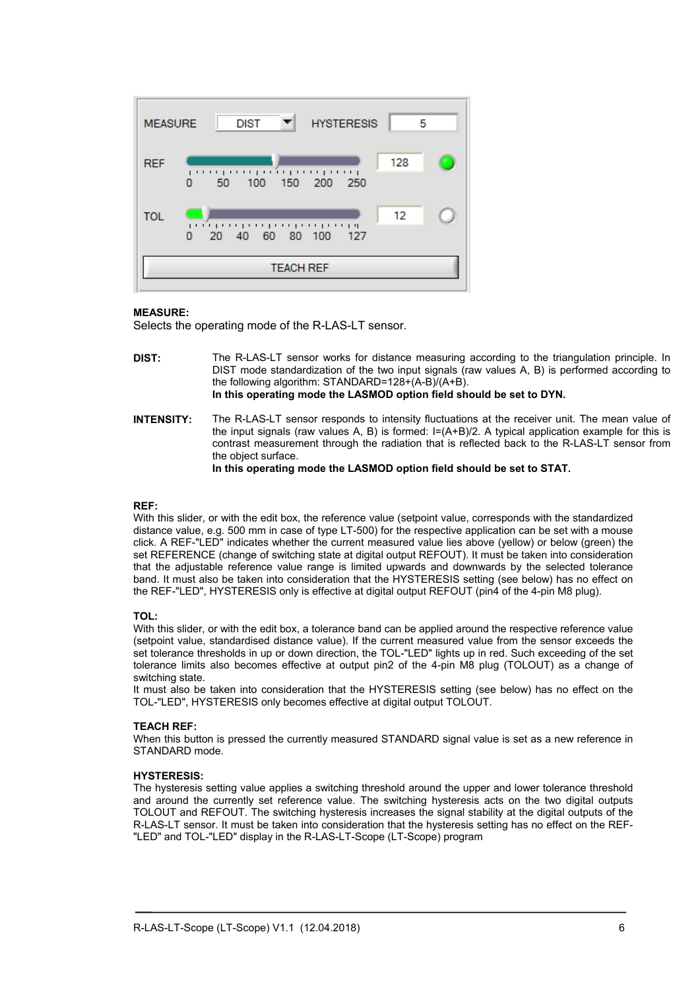

#### **MEASURE:**

Selects the operating mode of the R-LAS-LT sensor.

- **DIST:** The R-LAS-LT sensor works for distance measuring according to the triangulation principle. In DIST mode standardization of the two input signals (raw values A, B) is performed according to the following algorithm: STANDARD=128+(A-B)/(A+B). **In this operating mode the LASMOD option field should be set to DYN.**
- **INTENSITY:** The R-LAS-LT sensor responds to intensity fluctuations at the receiver unit. The mean value of the input signals (raw values A, B) is formed:  $I=(A+B)/2$ . A typical application example for this is contrast measurement through the radiation that is reflected back to the R-LAS-LT sensor from the object surface.

**In this operating mode the LASMOD option field should be set to STAT.** 

#### **REF:**

With this slider, or with the edit box, the reference value (setpoint value, corresponds with the standardized distance value, e.g. 500 mm in case of type LT-500) for the respective application can be set with a mouse click. A REF-"LED" indicates whether the current measured value lies above (yellow) or below (green) the set REFERENCE (change of switching state at digital output REFOUT). It must be taken into consideration that the adjustable reference value range is limited upwards and downwards by the selected tolerance band. It must also be taken into consideration that the HYSTERESIS setting (see below) has no effect on the REF-"LED", HYSTERESIS only is effective at digital output REFOUT (pin4 of the 4-pin M8 plug).

#### **TOL:**

With this slider, or with the edit box, a tolerance band can be applied around the respective reference value (setpoint value, standardised distance value). If the current measured value from the sensor exceeds the set tolerance thresholds in up or down direction, the TOL-"LED" lights up in red. Such exceeding of the set tolerance limits also becomes effective at output pin2 of the 4-pin M8 plug (TOLOUT) as a change of switching state.

It must also be taken into consideration that the HYSTERESIS setting (see below) has no effect on the TOL-"LED", HYSTERESIS only becomes effective at digital output TOLOUT.

#### **TEACH REF:**

When this button is pressed the currently measured STANDARD signal value is set as a new reference in STANDARD mode.

#### **HYSTERESIS:**

The hysteresis setting value applies a switching threshold around the upper and lower tolerance threshold and around the currently set reference value. The switching hysteresis acts on the two digital outputs TOLOUT and REFOUT. The switching hysteresis increases the signal stability at the digital outputs of the R-LAS-LT sensor. It must be taken into consideration that the hysteresis setting has no effect on the REF- "LED" and TOL-"LED" display in the R-LAS-LT-Scope (LT-Scope) program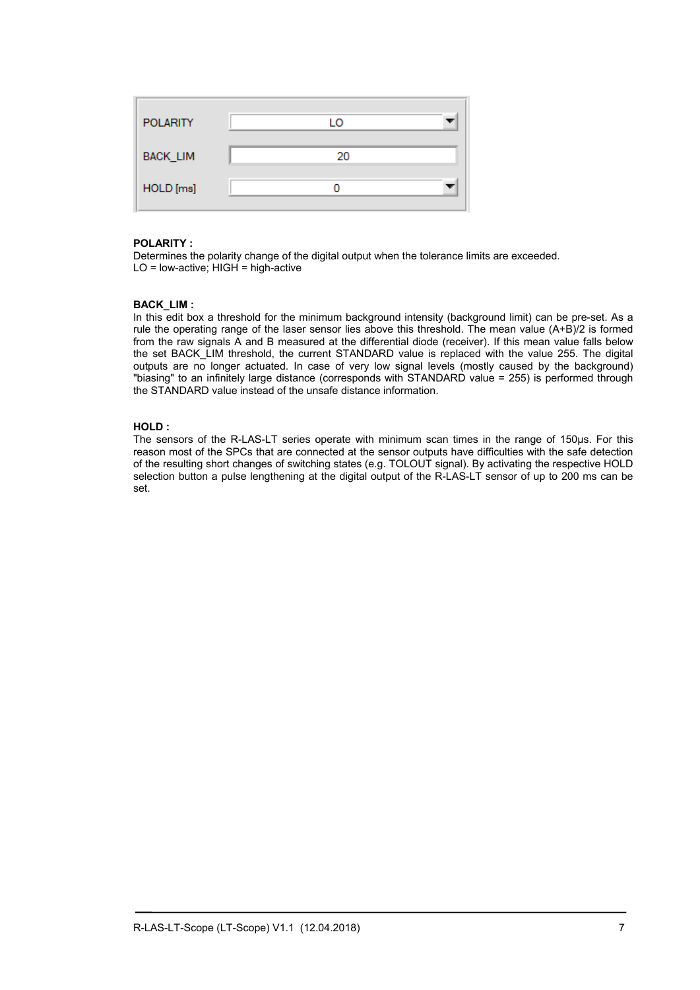| <b>POLARITY</b> | LO |
|-----------------|----|
| BACK_LIM        | 20 |
| HOLD [ms]       |    |

#### **POLARITY :**

Determines the polarity change of the digital output when the tolerance limits are exceeded. LO = low-active; HIGH = high-active

#### **BACK\_LIM :**

In this edit box a threshold for the minimum background intensity (background limit) can be pre-set. As a rule the operating range of the laser sensor lies above this threshold. The mean value (A+B)/2 is formed from the raw signals A and B measured at the differential diode (receiver). If this mean value falls below the set BACK LIM threshold, the current STANDARD value is replaced with the value 255. The digital outputs are no longer actuated. In case of very low signal levels (mostly caused by the background) "biasing" to an infinitely large distance (corresponds with STANDARD value = 255) is performed through the STANDARD value instead of the unsafe distance information.

#### **HOLD :**

The sensors of the R-LAS-LT series operate with minimum scan times in the range of 150µs. For this reason most of the SPCs that are connected at the sensor outputs have difficulties with the safe detection of the resulting short changes of switching states (e.g. TOLOUT signal). By activating the respective HOLD selection button a pulse lengthening at the digital output of the R-LAS-LT sensor of up to 200 ms can be set.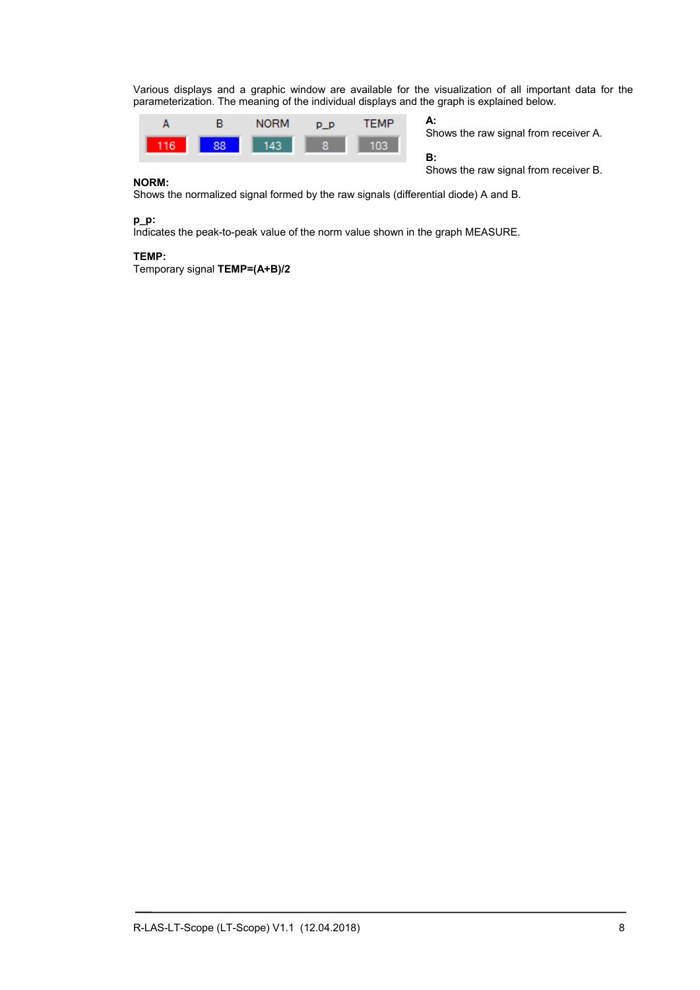Various displays and a graphic window are available for the visualization of all important data for the parameterization. The meaning of the individual displays and the graph is explained below.



**A:**  Shows the raw signal from receiver A.

**B:** 

Shows the raw signal from receiver B.

#### **NORM:**

Shows the normalized signal formed by the raw signals (differential diode) A and B.

#### **p\_p:**

Indicates the peak-to-peak value of the norm value shown in the graph MEASURE.

#### **TEMP:**

Temporary signal **TEMP=(A+B)/2**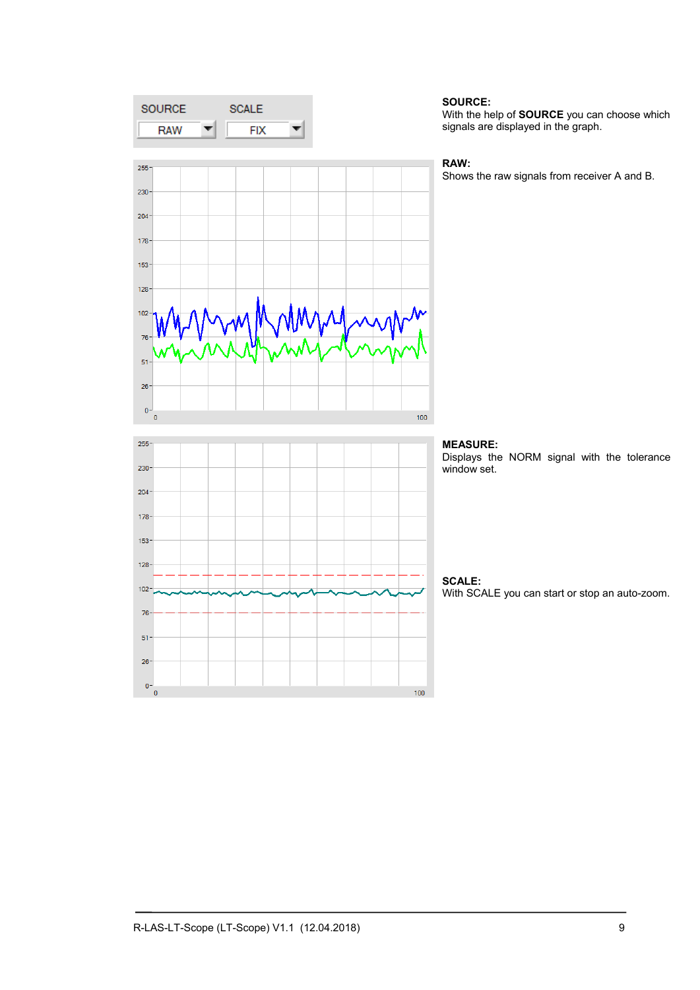

#### **SOURCE:**

With the help of **SOURCE** you can choose which signals are displayed in the graph.

#### **RAW:**

Shows the raw signals from receiver A and B.



### **MEASURE:**

Displays the NORM signal with the tolerance window set.

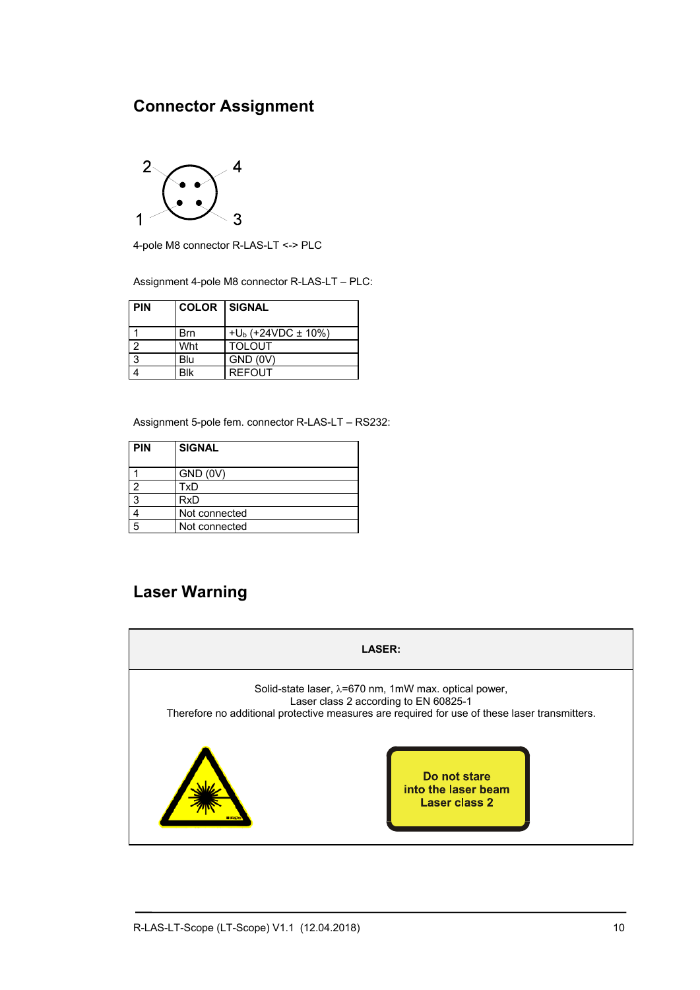## **Connector Assignment**



4-pole M8 connector R-LAS-LT <-> PLC

Assignment 4-pole M8 connector R-LAS-LT – PLC:

| <b>PIN</b> | <b>COLOR SIGNAL</b> |                           |  |
|------------|---------------------|---------------------------|--|
|            | Brn                 | $+U_b$ (+24VDC $\pm$ 10%) |  |
|            | Wht                 | <b>TOLOUT</b>             |  |
| 3          | Blu                 | GND (0V)                  |  |
|            | Blk                 | <b>REFOUT</b>             |  |

Assignment 5-pole fem. connector R-LAS-LT – RS232:

| <b>PIN</b> | <b>SIGNAL</b> |  |
|------------|---------------|--|
|            | GND (0V)      |  |
|            | TxD           |  |
| ว          | RxD           |  |
|            | Not connected |  |
|            | Not connected |  |

## **Laser Warning**